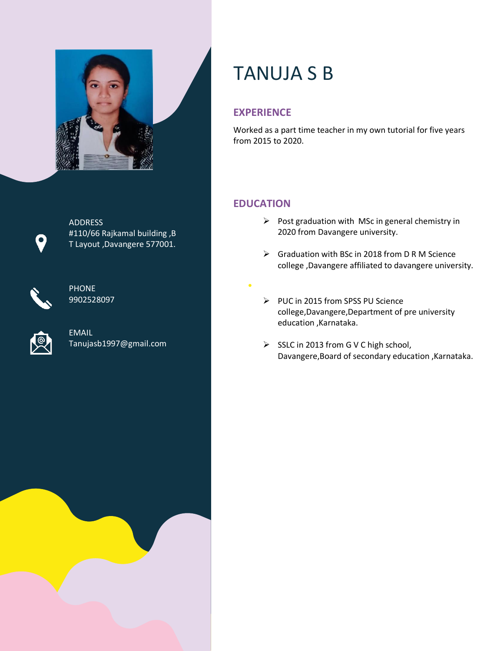

ADDRESS #110/66 Rajkamal building ,B T Layout ,Davangere 577001.



í

PHONE 9902528097

EMAIL Tanujasb1997@gmail.com

# TANUJA S B

## **EXPERIENCE**

Worked as a part time teacher in my own tutorial for five years from 2015 to 2020.

# **EDUCATION**

 $\bullet$ 

- $\triangleright$  Post graduation with MSc in general chemistry in 2020 from Davangere university.
- $\triangleright$  Graduation with BSc in 2018 from D R M Science college ,Davangere affiliated to davangere university.
- PUC in 2015 from SPSS PU Science college,Davangere,Department of pre university education ,Karnataka.
- $\triangleright$  SSLC in 2013 from G V C high school, Davangere,Board of secondary education ,Karnataka.